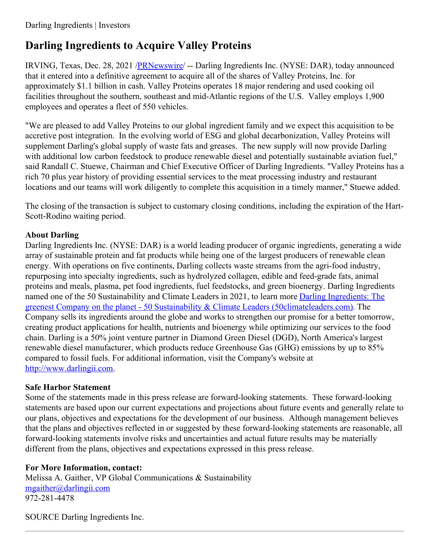## **Darling Ingredients to Acquire Valley Proteins**

IRVING, Texas, Dec. 28, 2021 [/PRNewswire](http://www.prnewswire.com/)/ -- Darling Ingredients Inc. (NYSE: DAR), today announced that it entered into a definitive agreement to acquire all of the shares of Valley Proteins, Inc. for approximately \$1.1 billion in cash. Valley Proteins operates 18 major rendering and used cooking oil facilities throughout the southern, southeast and mid-Atlantic regions of the U.S. Valley employs 1,900 employees and operates a fleet of 550 vehicles.

"We are pleased to add Valley Proteins to our global ingredient family and we expect this acquisition to be accretive post integration. In the evolving world of ESG and global decarbonization, Valley Proteins will supplement Darling's global supply of waste fats and greases. The new supply will now provide Darling with additional low carbon feedstock to produce renewable diesel and potentially sustainable aviation fuel," said Randall C. Stuewe, Chairman and Chief Executive Officer of Darling Ingredients. "Valley Proteins has a rich 70 plus year history of providing essential services to the meat processing industry and restaurant locations and our teams will work diligently to complete this acquisition in a timely manner," Stuewe added.

The closing of the transaction is subject to customary closing conditions, including the expiration of the Hart-Scott-Rodino waiting period.

## **About Darling**

Darling Ingredients Inc. (NYSE: DAR) is a world leading producer of organic ingredients, generating a wide array of sustainable protein and fat products while being one of the largest producers of renewable clean energy. With operations on five continents, Darling collects waste streams from the agri-food industry, repurposing into specialty ingredients, such as hydrolyzed collagen, edible and feed-grade fats, animal proteins and meals, plasma, pet food ingredients, fuel feedstocks, and green bioenergy. Darling Ingredients named one of the 50 Sustainability and Climate Leaders in 2021, to learn more Darling Ingredients: The greenest Company on the planet - 50 Sustainability & Climate Leaders [\(50climateleaders.com\).](https://c212.net/c/link/?t=0&l=en&o=3399210-1&h=1704829863&u=https%3A%2F%2Fwww.50climateleaders.com%2Fdarling-ingredients-the-greenest-company-on-the-planet%2F&a=Darling+Ingredients%3A+The+greenest+Company+on+the+planet+-+50+Sustainability+%26+Climate+Leaders+(50climateleaders.com)) The Company sells its ingredients around the globe and works to strengthen our promise for a better tomorrow, creating product applications for health, nutrients and bioenergy while optimizing our services to the food chain. Darling is a 50% joint venture partner in Diamond Green Diesel (DGD), North America's largest renewable diesel manufacturer, which products reduce Greenhouse Gas (GHG) emissions by up to 85% compared to fossil fuels. For additional information, visit the Company's website at [http://www.darlingii.com](https://c212.net/c/link/?t=0&l=en&o=3399210-1&h=2547894486&u=http%3A%2F%2Fwww.darlingii.com%2F&a=http%3A%2F%2Fwww.darlingii.com).

## **Safe Harbor Statement**

Some of the statements made in this press release are forward-looking statements. These forward-looking statements are based upon our current expectations and projections about future events and generally relate to our plans, objectives and expectations for the development of our business. Although management believes that the plans and objectives reflected in or suggested by these forward-looking statements are reasonable, all forward-looking statements involve risks and uncertainties and actual future results may be materially different from the plans, objectives and expectations expressed in this press release.

## **For More Information, contact:**

Melissa A. Gaither, VP Global Communications & Sustainability [mgaither@darlingii.com](mailto:mgaither@darlingii.com) 972-281-4478

SOURCE Darling Ingredients Inc.